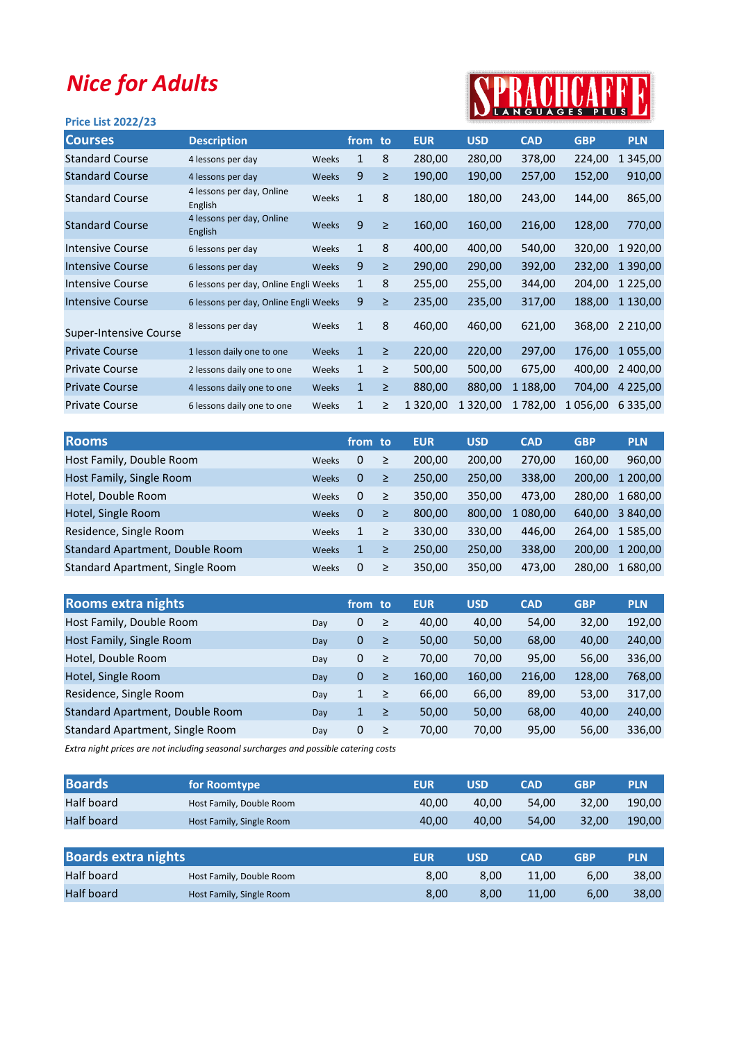## Nice for Adults

## Price List 2022/23



| <b>Courses</b>                | <b>Description</b>                    |       | from to |        | <b>EUR</b>    | <b>USD</b>    | <b>CAD</b> | <b>GBP</b> | <b>PLN</b>    |
|-------------------------------|---------------------------------------|-------|---------|--------|---------------|---------------|------------|------------|---------------|
| <b>Standard Course</b>        | 4 lessons per day                     | Weeks | 1       | 8      | 280,00        | 280,00        | 378,00     | 224,00     | 345,00<br>1   |
| <b>Standard Course</b>        | 4 lessons per day                     | Weeks | 9       | $\geq$ | 190,00        | 190,00        | 257,00     | 152,00     | 910,00        |
| <b>Standard Course</b>        | 4 lessons per day, Online<br>English  | Weeks | 1       | 8      | 180,00        | 180,00        | 243,00     | 144,00     | 865,00        |
| <b>Standard Course</b>        | 4 lessons per day, Online<br>English  | Weeks | 9       | $\geq$ | 160,00        | 160,00        | 216,00     | 128,00     | 770,00        |
| Intensive Course              | 6 lessons per day                     | Weeks | 1       | 8      | 400,00        | 400,00        | 540,00     | 320,00     | 1920,00       |
| <b>Intensive Course</b>       | 6 lessons per day                     | Weeks | 9       | $\geq$ | 290,00        | 290,00        | 392,00     | 232,00     | 1 390,00      |
| <b>Intensive Course</b>       | 6 lessons per day, Online Engli Weeks |       | 1       | 8      | 255,00        | 255,00        | 344,00     | 204,00     | 1 2 2 5 , 0 0 |
| <b>Intensive Course</b>       | 6 lessons per day, Online Engli Weeks |       | 9       | ≥      | 235,00        | 235,00        | 317,00     | 188,00     | 1 130,00      |
| <b>Super-Intensive Course</b> | 8 lessons per day                     | Weeks | 1       | 8      | 460,00        | 460,00        | 621,00     | 368,00     | 2 2 1 0 , 0 0 |
| <b>Private Course</b>         | 1 lesson daily one to one             | Weeks | 1       | $\geq$ | 220,00        | 220,00        | 297,00     | 176,00     | 1 055,00      |
| <b>Private Course</b>         | 2 lessons daily one to one            | Weeks | 1       | $\geq$ | 500,00        | 500,00        | 675,00     | 400,00     | 2 400,00      |
| <b>Private Course</b>         | 4 lessons daily one to one            | Weeks | 1       | $\geq$ | 880,00        | 880,00        | 1 188,00   | 704,00     | 4 2 2 5 , 0 0 |
| <b>Private Course</b>         | 6 lessons daily one to one            | Weeks | 1       | ≥      | 1 3 2 0 , 0 0 | 1 3 2 0 , 0 0 | 1782,00    | 1 056,00   | 6 335,00      |
|                               |                                       |       |         |        |               |               |            |            |               |

|              |              |        | <b>EUR</b> | <b>USD</b> | <b>CAD</b> | <b>GBP</b> | <b>PLN</b> |
|--------------|--------------|--------|------------|------------|------------|------------|------------|
| Weeks        | 0            | $\geq$ | 200,00     | 200,00     | 270,00     | 160,00     | 960,00     |
| Weeks        | $\Omega$     | ≥      | 250,00     | 250,00     | 338,00     | 200,00     | 1 200,00   |
| Weeks        | $\Omega$     | $\geq$ | 350,00     | 350,00     | 473.00     | 280.00     | 1 680,00   |
| <b>Weeks</b> | $\mathbf{0}$ | ≥      | 800,00     | 800.00     | 1 080,00   | 640.00     | 3 840,00   |
| Weeks        | $\mathbf{1}$ | $\geq$ | 330,00     | 330,00     | 446,00     | 264,00     | 1 585,00   |
| <b>Weeks</b> | 1            | $\geq$ | 250,00     | 250,00     | 338,00     | 200.00     | 1 200.00   |
| Weeks        | $\Omega$     | $\geq$ | 350,00     | 350,00     | 473,00     | 280,00     | 1 680,00   |
|              |              |        | from to    |            |            |            |            |

| <b>Rooms extra nights</b>              |     | from to |        | <b>EUR</b> | <b>USD</b> | <b>CAD</b> | <b>GBP</b> | <b>PLN</b> |
|----------------------------------------|-----|---------|--------|------------|------------|------------|------------|------------|
| Host Family, Double Room               | Day | 0       | ≥      | 40,00      | 40,00      | 54,00      | 32,00      | 192,00     |
| Host Family, Single Room               | Day | 0       | $\geq$ | 50,00      | 50,00      | 68,00      | 40,00      | 240,00     |
| Hotel, Double Room                     | Day | 0       | ≥      | 70,00      | 70,00      | 95,00      | 56,00      | 336,00     |
| Hotel, Single Room                     | Day | 0       | $\geq$ | 160,00     | 160,00     | 216,00     | 128,00     | 768,00     |
| Residence, Single Room                 | Day | 1       | ≥      | 66,00      | 66,00      | 89,00      | 53,00      | 317,00     |
| <b>Standard Apartment, Double Room</b> | Day | 1       | ≥      | 50,00      | 50,00      | 68,00      | 40,00      | 240,00     |
| Standard Apartment, Single Room        | Day | 0       | ≥      | 70,00      | 70,00      | 95,00      | 56,00      | 336,00     |

Extra night prices are not including seasonal surcharges and possible catering costs

| <b>Boards</b>              | for Roomtype             | <b>EUR</b> | <b>USD</b> | <b>CAD</b> | <b>GBP</b> | <b>PLN</b> |
|----------------------------|--------------------------|------------|------------|------------|------------|------------|
| Half board                 | Host Family, Double Room | 40,00      | 40,00      | 54,00      | 32,00      | 190.00     |
| <b>Half board</b>          | Host Family, Single Room | 40,00      | 40,00      | 54,00      | 32,00      | 190,00     |
|                            |                          |            |            |            |            |            |
| <b>Boards extra nights</b> |                          | <b>EUR</b> | <b>USD</b> | <b>CAD</b> | <b>GBP</b> | <b>PLN</b> |
| Half board                 | Host Family, Double Room | 8,00       | 8,00       | 11,00      | 6,00       | 38,00      |
| <b>Half board</b>          | Host Family, Single Room | 8,00       | 8,00       | 11,00      | 6,00       | 38,00      |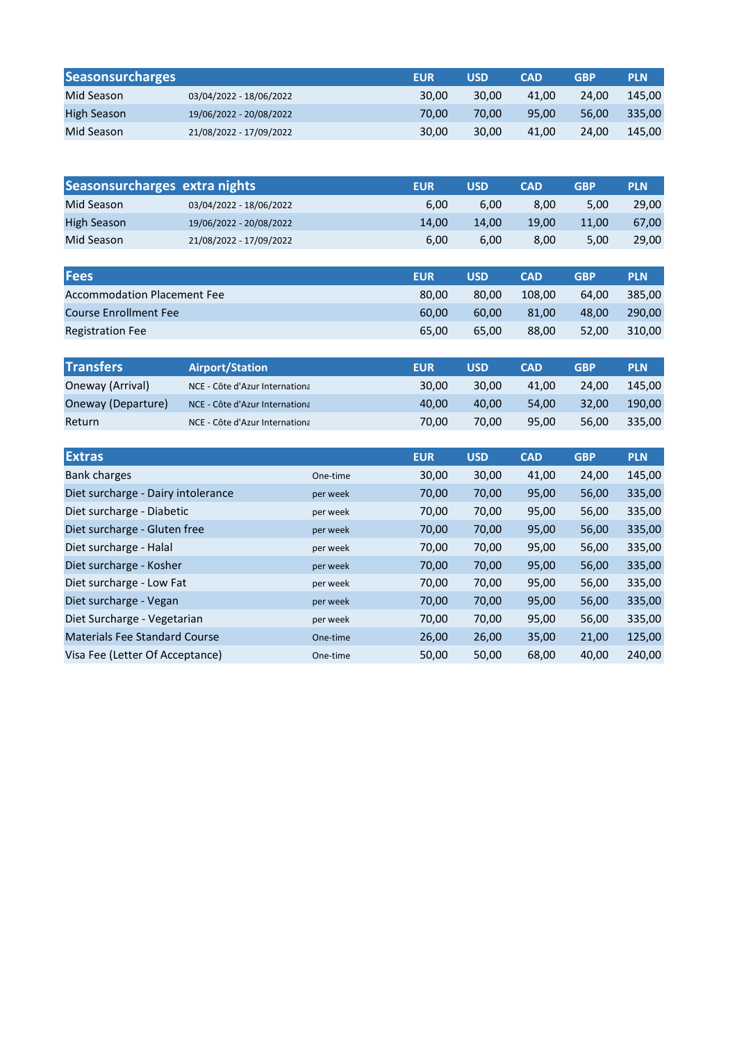| <b>Seasonsurcharges</b> |                         | <b>EUR</b> | USD   | <b>CAD</b> | <b>GBP</b> | <b>PLN</b> |
|-------------------------|-------------------------|------------|-------|------------|------------|------------|
| Mid Season              | 03/04/2022 - 18/06/2022 | 30.00      | 30.00 | 41.00      | 24.00      | 145,00     |
| High Season             | 19/06/2022 - 20/08/2022 | 70.00      | 70.00 | 95.00      | 56.00      | 335.00     |
| Mid Season              | 21/08/2022 - 17/09/2022 | 30.00      | 30.00 | 41.00      | 24.00      | 145,00     |

|                    | Seasonsurcharges extra nights | <b>EUR</b> | <b>USD</b> | <b>CAD</b> | <b>GBP</b> | <b>PLN</b> |
|--------------------|-------------------------------|------------|------------|------------|------------|------------|
| Mid Season         | 03/04/2022 - 18/06/2022       | 6.00       | 6,00       | 8.00       | 5.00       | 29.00      |
| <b>High Season</b> | 19/06/2022 - 20/08/2022       | 14.00      | 14.00      | 19.00      | 11.00      | 67,00      |
| Mid Season         | 21/08/2022 - 17/09/2022       | 6.00       | 6,00       | 8.00       | 5.00       | 29,00      |

| <b>Fees</b>                  | <b>EUR</b> | <b>USD</b> | <b>CAD</b> | <b>GBP</b> | <b>PLN</b> |
|------------------------------|------------|------------|------------|------------|------------|
| Accommodation Placement Fee  | 80.00      | 80.00      | 108.00     | 64.00      | 385.00     |
| <b>Course Enrollment Fee</b> | 60.00      | 60.00      | 81.00      | 48.00      | 290.00     |
| <b>Registration Fee</b>      | 65.00      | 65.00      | 88,00      | 52.00      | 310.00     |

| <b>Transfers</b>   | <b>Airport/Station</b>         | <b>EUR</b> | <b>USD</b> | <b>CAD</b> | <b>GBP</b> | <b>PLN</b> |
|--------------------|--------------------------------|------------|------------|------------|------------|------------|
| Oneway (Arrival)   | NCE - Côte d'Azur Internationa | 30.00      | 30.00      | 41.00      | 24.00      | 145.00     |
| Oneway (Departure) | NCE - Côte d'Azur Internationa | 40.00      | 40.00      | 54.00      | 32.00      | 190.00     |
| Return             | NCE - Côte d'Azur Internationa | 70.00      | 70.00      | 95.00      | 56.00      | 335.00     |

| <b>Extras</b>                        |          | <b>EUR</b> | <b>USD</b> | <b>CAD</b> | <b>GBP</b> | <b>PLN</b> |
|--------------------------------------|----------|------------|------------|------------|------------|------------|
| Bank charges                         | One-time | 30,00      | 30,00      | 41,00      | 24,00      | 145,00     |
| Diet surcharge - Dairy intolerance   | per week | 70,00      | 70,00      | 95,00      | 56,00      | 335,00     |
| Diet surcharge - Diabetic            | per week | 70,00      | 70,00      | 95,00      | 56,00      | 335,00     |
| Diet surcharge - Gluten free         | per week | 70,00      | 70,00      | 95,00      | 56,00      | 335,00     |
| Diet surcharge - Halal               | per week | 70,00      | 70,00      | 95,00      | 56,00      | 335,00     |
| Diet surcharge - Kosher              | per week | 70,00      | 70,00      | 95,00      | 56,00      | 335,00     |
| Diet surcharge - Low Fat             | per week | 70,00      | 70,00      | 95,00      | 56,00      | 335,00     |
| Diet surcharge - Vegan               | per week | 70,00      | 70,00      | 95,00      | 56,00      | 335,00     |
| Diet Surcharge - Vegetarian          | per week | 70,00      | 70,00      | 95,00      | 56,00      | 335,00     |
| <b>Materials Fee Standard Course</b> | One-time | 26,00      | 26,00      | 35,00      | 21,00      | 125,00     |
| Visa Fee (Letter Of Acceptance)      | One-time | 50,00      | 50,00      | 68,00      | 40,00      | 240,00     |